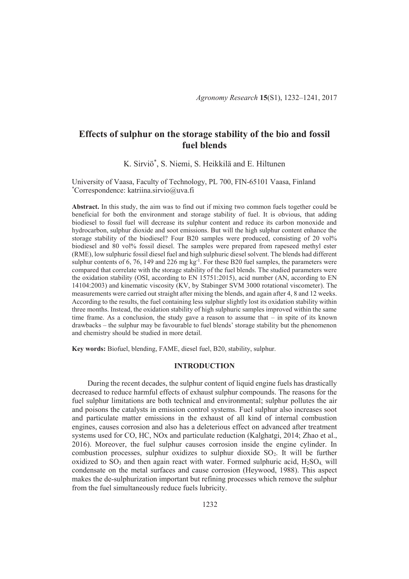# **Effects of sulphur on the storage stability of the bio and fossil fuel blends**

K. Sirviö\* , S. Niemi, S. Heikkilä and E. Hiltunen

University of Vaasa, Faculty of Technology, PL 700, FIN-65101 Vaasa, Finland \*Correspondence: katriina.sirvio@uva.fi

**Abstract.** In this study, the aim was to find out if mixing two common fuels together could be beneficial for both the environment and storage stability of fuel. It is obvious, that adding biodiesel to fossil fuel will decrease its sulphur content and reduce its carbon monoxide and hydrocarbon, sulphur dioxide and soot emissions. But will the high sulphur content enhance the storage stability of the biodiesel? Four B20 samples were produced, consisting of 20 vol% biodiesel and 80 vol% fossil diesel. The samples were prepared from rapeseed methyl ester (RME), low sulphuric fossil diesel fuel and high sulphuric diesel solvent. The blends had different sulphur contents of 6, 76, 149 and 226 mg  $kg^{-1}$ . For these B20 fuel samples, the parameters were compared that correlate with the storage stability of the fuel blends. The studied parameters were the oxidation stability (OSI, according to EN 15751:2015), acid number (AN, according to EN 14104:2003) and kinematic viscosity (KV, by Stabinger SVM 3000 rotational viscometer). The measurements were carried out straight after mixing the blends, and again after 4, 8 and 12 weeks. According to the results, the fuel containing less sulphur slightly lost its oxidation stability within three months. Instead, the oxidation stability of high sulphuric samples improved within the same time frame. As a conclusion, the study gave a reason to assume that  $-$  in spite of its known drawbacks – the sulphur may be favourable to fuel blends' storage stability but the phenomenon and chemistry should be studied in more detail.

**Key words:** Biofuel, blending, FAME, diesel fuel, B20, stability, sulphur.

### **INTRODUCTION**

During the recent decades, the sulphur content of liquid engine fuels has drastically decreased to reduce harmful effects of exhaust sulphur compounds. The reasons for the fuel sulphur limitations are both technical and environmental; sulphur pollutes the air and poisons the catalysts in emission control systems. Fuel sulphur also increases soot and particulate matter emissions in the exhaust of all kind of internal combustion engines, causes corrosion and also has a deleterious effect on advanced after treatment systems used for CO, HC, NOx and particulate reduction (Kalghatgi, 2014; Zhao et al., 2016). Moreover, the fuel sulphur causes corrosion inside the engine cylinder. In combustion processes, sulphur oxidizes to sulphur dioxide SO2. It will be further oxidized to  $SO_3$  and then again react with water. Formed sulphuric acid,  $H_2SO_4$ , will condensate on the metal surfaces and cause corrosion (Heywood, 1988). This aspect makes the de-sulphurization important but refining processes which remove the sulphur from the fuel simultaneously reduce fuels lubricity.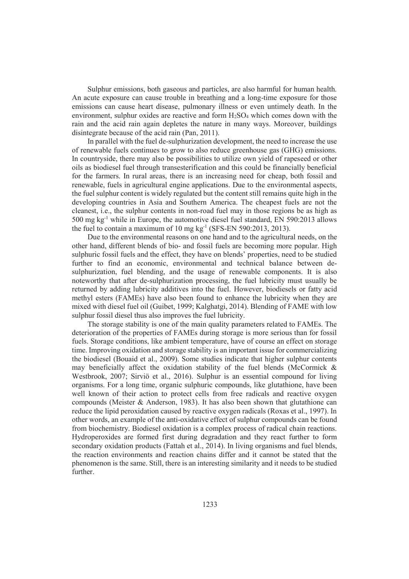Sulphur emissions, both gaseous and particles, are also harmful for human health. An acute exposure can cause trouble in breathing and a long-time exposure for those emissions can cause heart disease, pulmonary illness or even untimely death. In the environment, sulphur oxides are reactive and form  $H_2SO_4$  which comes down with the rain and the acid rain again depletes the nature in many ways. Moreover, buildings disintegrate because of the acid rain (Pan, 2011).

In parallel with the fuel de-sulphurization development, the need to increase the use of renewable fuels continues to grow to also reduce greenhouse gas (GHG) emissions. In countryside, there may also be possibilities to utilize own yield of rapeseed or other oils as biodiesel fuel through transesterification and this could be financially beneficial for the farmers. In rural areas, there is an increasing need for cheap, both fossil and renewable, fuels in agricultural engine applications. Due to the environmental aspects, the fuel sulphur content is widely regulated but the content still remains quite high in the developing countries in Asia and Southern America. The cheapest fuels are not the cleanest, i.e., the sulphur contents in non-road fuel may in those regions be as high as  $500 \text{ mg kg}^{-1}$  while in Europe, the automotive diesel fuel standard, EN  $590:2013$  allows the fuel to contain a maximum of 10 mg  $kg<sup>-1</sup>$  (SFS-EN 590:2013, 2013).

Due to the environmental reasons on one hand and to the agricultural needs, on the other hand, different blends of bio- and fossil fuels are becoming more popular. High sulphuric fossil fuels and the effect, they have on blends' properties, need to be studied further to find an economic, environmental and technical balance between desulphurization, fuel blending, and the usage of renewable components. It is also noteworthy that after de-sulphurization processing, the fuel lubricity must usually be returned by adding lubricity additives into the fuel. However, biodiesels or fatty acid methyl esters (FAMEs) have also been found to enhance the lubricity when they are mixed with diesel fuel oil (Guibet, 1999; Kalghatgi, 2014). Blending of FAME with low sulphur fossil diesel thus also improves the fuel lubricity.

The storage stability is one of the main quality parameters related to FAMEs. The deterioration of the properties of FAMEs during storage is more serious than for fossil fuels. Storage conditions, like ambient temperature, have of course an effect on storage time. Improving oxidation and storage stability is an important issue for commercializing the biodiesel (Bouaid et al., 2009). Some studies indicate that higher sulphur contents may beneficially affect the oxidation stability of the fuel blends (McCormick  $\&$ Westbrook, 2007; Sirviö et al., 2016). Sulphur is an essential compound for living organisms. For a long time, organic sulphuric compounds, like glutathione, have been well known of their action to protect cells from free radicals and reactive oxygen compounds (Meister  $\&$  Anderson, 1983). It has also been shown that glutathione can reduce the lipid peroxidation caused by reactive oxygen radicals (Roxas et al., 1997). In other words, an example of the anti-oxidative effect of sulphur compounds can be found from biochemistry. Biodiesel oxidation is a complex process of radical chain reactions. Hydroperoxides are formed first during degradation and they react further to form secondary oxidation products (Fattah et al., 2014). In living organisms and fuel blends, the reaction environments and reaction chains differ and it cannot be stated that the phenomenon is the same. Still, there is an interesting similarity and it needs to be studied further.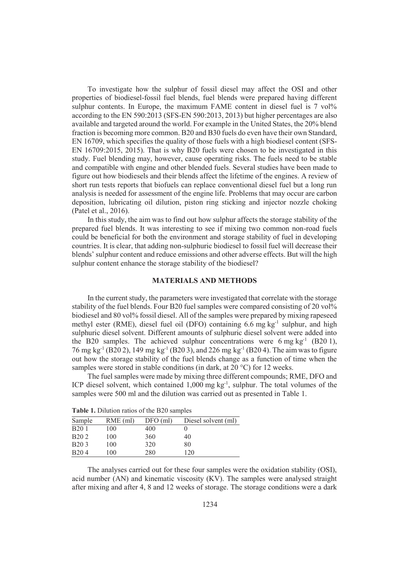To investigate how the sulphur of fossil diesel may affect the OSI and other properties of biodiesel-fossil fuel blends, fuel blends were prepared having different sulphur contents. In Europe, the maximum FAME content in diesel fuel is 7 vol<sup>9</sup>% according to the EN 590:2013 (SFS-EN 590:2013, 2013) but higher percentages are also available and targeted around the world. For example in the United States, the 20% blend fraction is becoming more common. B20 and B30 fuels do even have their own Standard, EN 16709, which specifies the quality of those fuels with a high biodiesel content (SFS-EN 16709:2015, 2015). That is why B20 fuels were chosen to be investigated in this study. Fuel blending may, however, cause operating risks. The fuels need to be stable and compatible with engine and other blended fuels. Several studies have been made to figure out how biodiesels and their blends affect the lifetime of the engines. A review of short run tests reports that biofuels can replace conventional diesel fuel but a long run analysis is needed for assessment of the engine life. Problems that may occur are carbon deposition, lubricating oil dilution, piston ring sticking and injector nozzle choking (Patel et al., 2016).

In this study, the aim was to find out how sulphur affects the storage stability of the prepared fuel blends. It was interesting to see if mixing two common non-road fuels could be beneficial for both the environment and storage stability of fuel in developing countries. It is clear, that adding non-sulphuric biodiesel to fossil fuel will decrease their blends' sulphur content and reduce emissions and other adverse effects. But will the high sulphur content enhance the storage stability of the biodiesel?

### **MATERIALS AND METHODS**

In the current study, the parameters were investigated that correlate with the storage stability of the fuel blends. Four B20 fuel samples were compared consisting of 20 vol<sup>9</sup> biodiesel and 80 vol<sup>%</sup> fossil diesel. All of the samples were prepared by mixing rapeseed methyl ester (RME), diesel fuel oil (DFO) containing  $6.6$  mg kg<sup>-1</sup> sulphur, and high sulphuric diesel solvent. Different amounts of sulphuric diesel solvent were added into the B20 samples. The achieved sulphur concentrations were  $6 \text{ mg kg}^{-1}$  (B20 1), 76 mg kg<sup>-1</sup> (B20 2), 149 mg kg<sup>-1</sup> (B20 3), and 226 mg kg<sup>-1</sup> (B20 4). The aim was to figure out how the storage stability of the fuel blends change as a function of time when the samples were stored in stable conditions (in dark, at 20 °C) for 12 weeks.

The fuel samples were made by mixing three different compounds; RME, DFO and ICP diesel solvent, which contained  $1,000$  mg kg<sup>-1</sup>, sulphur. The total volumes of the samples were 500 ml and the dilution was carried out as presented in Table 1.

| Sample            | $RME$ (ml) | $DFO$ (ml) | Diesel solvent (ml) |  |  |  |
|-------------------|------------|------------|---------------------|--|--|--|
| B <sub>20</sub> 1 | 100        | 400        |                     |  |  |  |
| B <sub>20</sub> 2 | 100        | 360        | 40                  |  |  |  |
| B <sub>20</sub> 3 | 100        | 320        | 80                  |  |  |  |
| B <sub>20</sub> 4 | 100        | 280        | 120                 |  |  |  |

**Table 1.** Dilution ratios of the B20 samples

The analyses carried out for these four samples were the oxidation stability (OSI), acid number (AN) and kinematic viscosity (KV). The samples were analysed straight after mixing and after 4, 8 and 12 weeks of storage. The storage conditions were a dark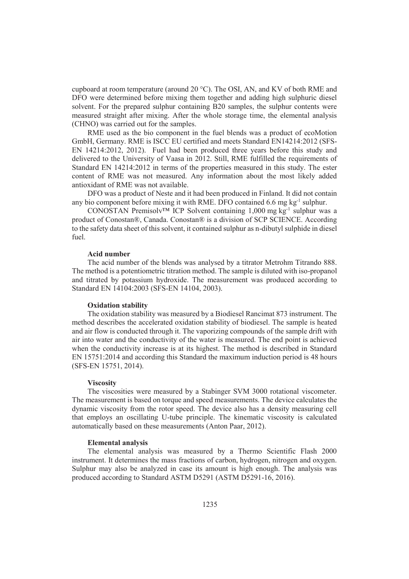cupboard at room temperature (around 20  $^{\circ}$ C). The OSI, AN, and KV of both RME and DFO were determined before mixing them together and adding high sulphuric diesel solvent. For the prepared sulphur containing B20 samples, the sulphur contents were measured straight after mixing. After the whole storage time, the elemental analysis (CHNO) was carried out for the samples.

RME used as the bio component in the fuel blends was a product of ecoMotion GmbH, Germany. RME is ISCC EU certified and meets Standard EN14214:2012 (SFS-EN 14214:2012, 2012). Fuel had been produced three years before this study and delivered to the University of Vaasa in 2012. Still, RME fulfilled the requirements of Standard EN 14214:2012 in terms of the properties measured in this study. The ester content of RME was not measured. Any information about the most likely added antioxidant of RME was not available.

DFO was a product of Neste and it had been produced in Finland. It did not contain any bio component before mixing it with RME. DFO contained 6.6 mg kg-1 sulphur.

CONOSTAN Premisolv™ ICP Solvent containing 1,000 mg kg-1 sulphur was a product of Conostan®, Canada. Conostan® is a division of SCP SCIENCE. According to the safety data sheet of this solvent, it contained sulphur as n-dibutyl sulphide in diesel fuel.

## **Acid number**

The acid number of the blends was analysed by a titrator Metrohm Titrando 888. The method is a potentiometric titration method. The sample is diluted with iso-propanol and titrated by potassium hydroxide. The measurement was produced according to Standard EN 14104:2003 (SFS-EN 14104, 2003).

## **Oxidation stability**

The oxidation stability was measured by a Biodiesel Rancimat 873 instrument. The method describes the accelerated oxidation stability of biodiesel. The sample is heated and air flow is conducted through it. The vaporizing compounds of the sample drift with air into water and the conductivity of the water is measured. The end point is achieved when the conductivity increase is at its highest. The method is described in Standard EN 15751:2014 and according this Standard the maximum induction period is 48 hours (SFS-EN 15751, 2014).

#### **Viscosity**

The viscosities were measured by a Stabinger SVM 3000 rotational viscometer. The measurement is based on torque and speed measurements. The device calculates the dynamic viscosity from the rotor speed. The device also has a density measuring cell that employs an oscillating U-tube principle. The kinematic viscosity is calculated automatically based on these measurements (Anton Paar, 2012).

#### **Elemental analysis**

The elemental analysis was measured by a Thermo Scientific Flash 2000 instrument. It determines the mass fractions of carbon, hydrogen, nitrogen and oxygen. Sulphur may also be analyzed in case its amount is high enough. The analysis was produced according to Standard ASTM D5291 (ASTM D5291-16, 2016).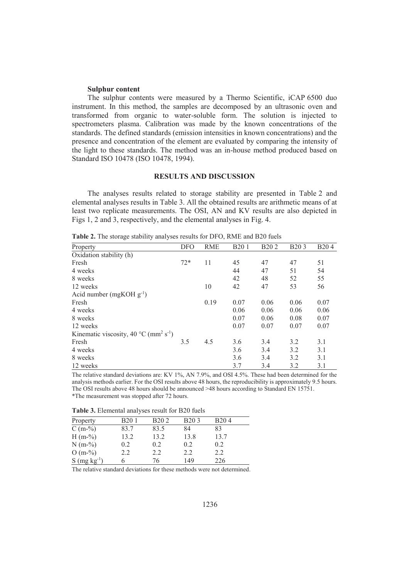#### **Sulphur content**

The sulphur contents were measured by a Thermo Scientific, iCAP 6500 duo instrument. In this method, the samples are decomposed by an ultrasonic oven and transformed from organic to water-soluble form. The solution is injected to spectrometers plasma. Calibration was made by the known concentrations of the standards. The defined standards (emission intensities in known concentrations) and the presence and concentration of the element are evaluated by comparing the intensity of the light to these standards. The method was an in-house method produced based on Standard ISO 10478 (ISO 10478, 1994).

## **RESULTS AND DISCUSSION**

The analyses results related to storage stability are presented in Table 2 and elemental analyses results in Table 3. All the obtained results are arithmetic means of at least two replicate measurements. The OSI, AN and KV results are also depicted in Figs 1, 2 and 3, respectively, and the elemental analyses in Fig. 4.

| Property                                                      | <b>DFO</b> | <b>RME</b> | <b>B201</b> | B <sub>20</sub> 2 | <b>B203</b> | B <sub>20</sub> 4 |
|---------------------------------------------------------------|------------|------------|-------------|-------------------|-------------|-------------------|
| Oxidation stability (h)                                       |            |            |             |                   |             |                   |
| Fresh                                                         | $72*$      | 11         | 45          | 47                | 47          | 51                |
| 4 weeks                                                       |            |            | 44          | 47                | 51          | 54                |
| 8 weeks                                                       |            |            | 42          | 48                | 52          | 55                |
| 12 weeks                                                      |            | 10         | 42          | 47                | 53          | 56                |
| Acid number (mgKOH $g^{-1}$ )                                 |            |            |             |                   |             |                   |
| Fresh                                                         |            | 0.19       | 0.07        | 0.06              | 0.06        | 0.07              |
| 4 weeks                                                       |            |            | 0.06        | 0.06              | 0.06        | 0.06              |
| 8 weeks                                                       |            |            | 0.07        | 0.06              | 0.08        | 0.07              |
| 12 weeks                                                      |            |            | 0.07        | 0.07              | 0.07        | 0.07              |
| Kinematic viscosity, 40 °C (mm <sup>2</sup> s <sup>-1</sup> ) |            |            |             |                   |             |                   |
| Fresh                                                         | 3.5        | 4.5        | 3.6         | 3.4               | 3.2         | 3.1               |
| 4 weeks                                                       |            |            | 3.6         | 3.4               | 3.2         | 3.1               |
| 8 weeks                                                       |            |            | 3.6         | 3.4               | 3.2         | 3.1               |
| 12 weeks                                                      |            |            | 3.7         | 3.4               | 3.2         | 3.1               |

**Table 2.** The storage stability analyses results for DFO, RME and B20 fuels

The relative standard deviations are: KV 1%, AN 7.9%, and OSI 4.5%. These had been determined for the analysis methods earlier. For the OSI results above 48 hours, the reproducibility is approximately 9.5 hours. The OSI results above 48 hours should be announced >48 hours according to Standard EN 15751. \*The measurement was stopped after 72 hours.

**Table 3.** Elemental analyses result for B20 fuels

| Property                   | B <sub>20</sub> 1 | B <sub>20</sub> 2 | <b>B203</b> | B <sub>20</sub> 4 |  |
|----------------------------|-------------------|-------------------|-------------|-------------------|--|
| $C(m-%)$                   | 83.7              | 83.5              | 84          | 83                |  |
| $H(m-%)$                   | 13.2              | 13.2              | 13.8        | 13.7              |  |
| $N(m-%)$                   | 0.2               | 0.2               | 0.2         | 0.2               |  |
| $O(m-%)$                   | 2.2               | 2.2               | 2.2         | 2.2               |  |
| $S$ (mg kg <sup>-1</sup> ) | n                 | 76                | 149         | 226               |  |

The relative standard deviations for these methods were not determined.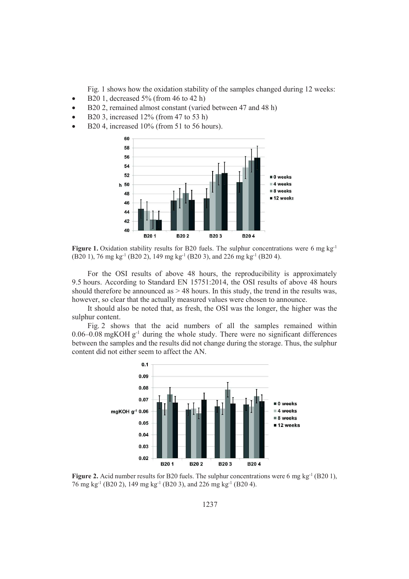Fig. 1 shows how the oxidation stability of the samples changed during 12 weeks:

- B20 1, decreased  $5\%$  (from 46 to 42 h)
- B20 2, remained almost constant (varied between 47 and 48 h)
- B20 3, increased  $12\%$  (from 47 to 53 h)
- B20 4, increased  $10\%$  (from 51 to 56 hours).



**Figure 1.** Oxidation stability results for B20 fuels. The sulphur concentrations were 6 mg kg<sup>-1</sup> (B20 1), 76 mg kg-1 (B20 2), 149 mg kg-1 (B20 3), and 226 mg kg-1 (B20 4).

For the OSI results of above 48 hours, the reproducibility is approximately 9.5 hours. According to Standard EN 15751:2014, the OSI results of above 48 hours should therefore be announced as  $> 48$  hours. In this study, the trend in the results was, however, so clear that the actually measured values were chosen to announce.

It should also be noted that, as fresh, the OSI was the longer, the higher was the sulphur content.

Fig. 2 shows that the acid numbers of all the samples remained within  $0.06-0.08$  mgKOH g<sup>-1</sup> during the whole study. There were no significant differences between the samples and the results did not change during the storage. Thus, the sulphur content did not either seem to affect the AN.



**Figure 2.** Acid number results for B20 fuels. The sulphur concentrations were 6 mg  $kg^{-1}$  (B20 1), 76 mg kg-1 (B20 2), 149 mg kg-1 (B20 3), and 226 mg kg-1 (B20 4).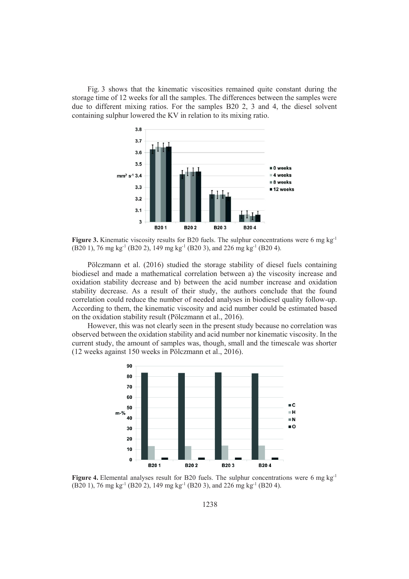Fig. 3 shows that the kinematic viscosities remained quite constant during the storage time of 12 weeks for all the samples. The differences between the samples were due to different mixing ratios. For the samples B20 2, 3 and 4, the diesel solvent containing sulphur lowered the KV in relation to its mixing ratio.



**Figure 3.** Kinematic viscosity results for B20 fuels. The sulphur concentrations were 6 mg kg<sup>-1</sup> (B20 1), 76 mg kg-1 (B20 2), 149 mg kg-1 (B20 3), and 226 mg kg-1 (B20 4).

Pölczmann et al. (2016) studied the storage stability of diesel fuels containing biodiesel and made a mathematical correlation between a) the viscosity increase and oxidation stability decrease and b) between the acid number increase and oxidation stability decrease. As a result of their study, the authors conclude that the found correlation could reduce the number of needed analyses in biodiesel quality follow-up. According to them, the kinematic viscosity and acid number could be estimated based on the oxidation stability result (Pölczmann et al., 2016).

However, this was not clearly seen in the present study because no correlation was observed between the oxidation stability and acid number nor kinematic viscosity. In the current study, the amount of samples was, though, small and the timescale was shorter (12 weeks against 150 weeks in Pölczmann et al., 2016).



**Figure 4.** Elemental analyses result for B20 fuels. The sulphur concentrations were 6 mg kg<sup>-1</sup> (B20 1), 76 mg kg-1 (B20 2), 149 mg kg-1 (B20 3), and 226 mg kg-1 (B20 4).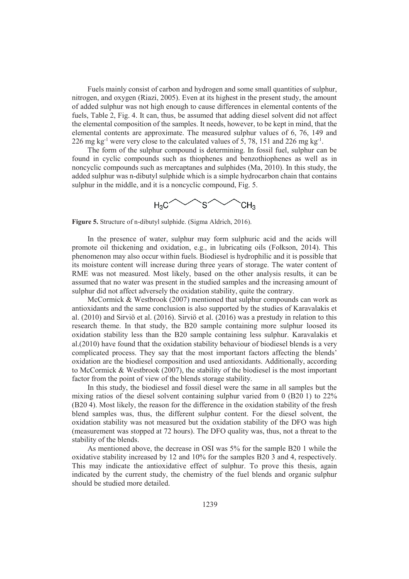Fuels mainly consist of carbon and hydrogen and some small quantities of sulphur, nitrogen, and oxygen (Riazi, 2005). Even at its highest in the present study, the amount of added sulphur was not high enough to cause differences in elemental contents of the fuels, Table 2, Fig. 4. It can, thus, be assumed that adding diesel solvent did not affect the elemental composition of the samples. It needs, however, to be kept in mind, that the elemental contents are approximate. The measured sulphur values of 6, 76, 149 and 226 mg kg<sup>-1</sup> were very close to the calculated values of 5, 78, 151 and 226 mg kg<sup>-1</sup>.

The form of the sulphur compound is determining. In fossil fuel, sulphur can be found in cyclic compounds such as thiophenes and benzothiophenes as well as in noncyclic compounds such as mercaptanes and sulphides (Ma, 2010). In this study, the added sulphur was n-dibutyl sulphide which is a simple hydrocarbon chain that contains sulphur in the middle, and it is a noncyclic compound. Fig. 5.



**Figure 5.** Structure of n-dibutyl sulphide. (Sigma Aldrich, 2016).

In the presence of water, sulphur may form sulphuric acid and the acids will promote oil thickening and oxidation, e.g., in lubricating oils (Folkson, 2014). This phenomenon may also occur within fuels. Biodiesel is hydrophilic and it is possible that its moisture content will increase during three years of storage. The water content of RME was not measured. Most likely, based on the other analysis results, it can be assumed that no water was present in the studied samples and the increasing amount of sulphur did not affect adversely the oxidation stability, quite the contrary.

McCormick & Westbrook (2007) mentioned that sulphur compounds can work as antioxidants and the same conclusion is also supported by the studies of Karavalakis et al. (2010) and Sirviö et al. (2016). Sirviö et al. (2016) was a prestudy in relation to this research theme. In that study, the B20 sample containing more sulphur loosed its oxidation stability less than the B20 sample containing less sulphur. Karavalakis et al.(2010) have found that the oxidation stability behaviour of biodiesel blends is a very complicated process. They say that the most important factors affecting the blends' oxidation are the biodiesel composition and used antioxidants. Additionally, according to McCormick & Westbrook (2007), the stability of the biodiesel is the most important factor from the point of view of the blends storage stability.

In this study, the biodiesel and fossil diesel were the same in all samples but the mixing ratios of the diesel solvent containing sulphur varied from 0 (B20 1) to 22% (B20 4). Most likely, the reason for the difference in the oxidation stability of the fresh blend samples was, thus, the different sulphur content. For the diesel solvent, the oxidation stability was not measured but the oxidation stability of the DFO was high (measurement was stopped at 72 hours). The DFO quality was, thus, not a threat to the stability of the blends.

As mentioned above, the decrease in OSI was 5% for the sample B20 1 while the oxidative stability increased by 12 and 10% for the samples B20 3 and 4, respectively. This may indicate the antioxidative effect of sulphur. To prove this thesis, again indicated by the current study, the chemistry of the fuel blends and organic sulphur should be studied more detailed.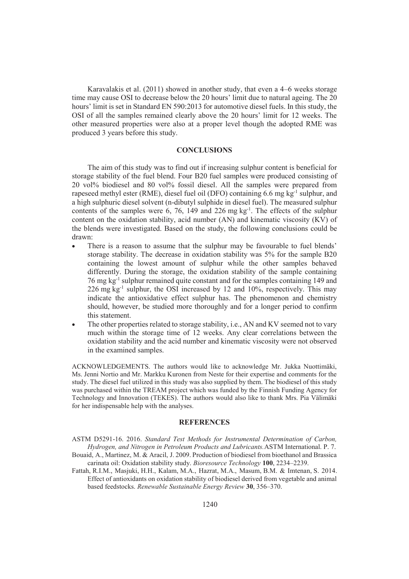Karavalakis et al. (2011) showed in another study, that even a 4–6 weeks storage time may cause OSI to decrease below the 20 hours' limit due to natural ageing. The 20 hours' limit is set in Standard EN 590:2013 for automotive diesel fuels. In this study, the OSI of all the samples remained clearly above the 20 hours' limit for 12 weeks. The other measured properties were also at a proper level though the adopted RME was produced 3 years before this study.

## **CONCLUSIONS**

The aim of this study was to find out if increasing sulphur content is beneficial for storage stability of the fuel blend. Four B20 fuel samples were produced consisting of 20 vol% biodiesel and 80 vol% fossil diesel. All the samples were prepared from rapeseed methyl ester (RME), diesel fuel oil (DFO) containing 6.6 mg kg-1 sulphur, and a high sulphuric diesel solvent (n-dibutyl sulphide in diesel fuel). The measured sulphur contents of the samples were 6, 76, 149 and 226 mg  $kg<sup>-1</sup>$ . The effects of the sulphur content on the oxidation stability, acid number (AN) and kinematic viscosity (KV) of the blends were investigated. Based on the study, the following conclusions could be drawn:

- There is a reason to assume that the sulphur may be favourable to fuel blends' storage stability. The decrease in oxidation stability was 5% for the sample B20 containing the lowest amount of sulphur while the other samples behaved differently. During the storage, the oxidation stability of the sample containing 76 mg kg-1 sulphur remained quite constant and for the samples containing 149 and 226 mg kg<sup>-1</sup> sulphur, the OSI increased by 12 and  $10\%$ , respectively. This may indicate the antioxidative effect sulphur has. The phenomenon and chemistry should, however, be studied more thoroughly and for a longer period to confirm this statement.
- The other properties related to storage stability, i.e., AN and KV seemed not to vary much within the storage time of 12 weeks. Any clear correlations between the oxidation stability and the acid number and kinematic viscosity were not observed in the examined samples.

ACKNOWLEDGEMENTS. The authors would like to acknowledge Mr. Jukka Nuottimäki, Ms. Jenni Nortio and Mr. Markku Kuronen from Neste for their expertise and comments for the study. The diesel fuel utilized in this study was also supplied by them. The biodiesel of this study was purchased within the TREAM project which was funded by the Finnish Funding Agency for Technology and Innovation (TEKES). The authors would also like to thank Mrs. Pia Välimäki for her indispensable help with the analyses.

#### **REFERENCES**

ASTM D5291-16. 2016. *Standard Test Methods for Instrumental Determination of Carbon, Hydrogen, and Nitrogen in Petroleum Products and Lubricants.*ASTM International. P. 7.

- Bouaid, A., Martinez, M. & Aracil, J. 2009. Production of biodiesel from bioethanol and Brassica carinata oil: Oxidation stability study. *Bioresource Technology* **100**, 2234–2239.
- Fattah, R.I.M., Masjuki, H.H., Kalam, M.A., Hazrat, M.A., Masum, B.M. & Imtenan, S. 2014. Effect of antioxidants on oxidation stability of biodiesel derived from vegetable and animal based feedstocks. *Renewable Sustainable Energy Review* **30**, 356–370.